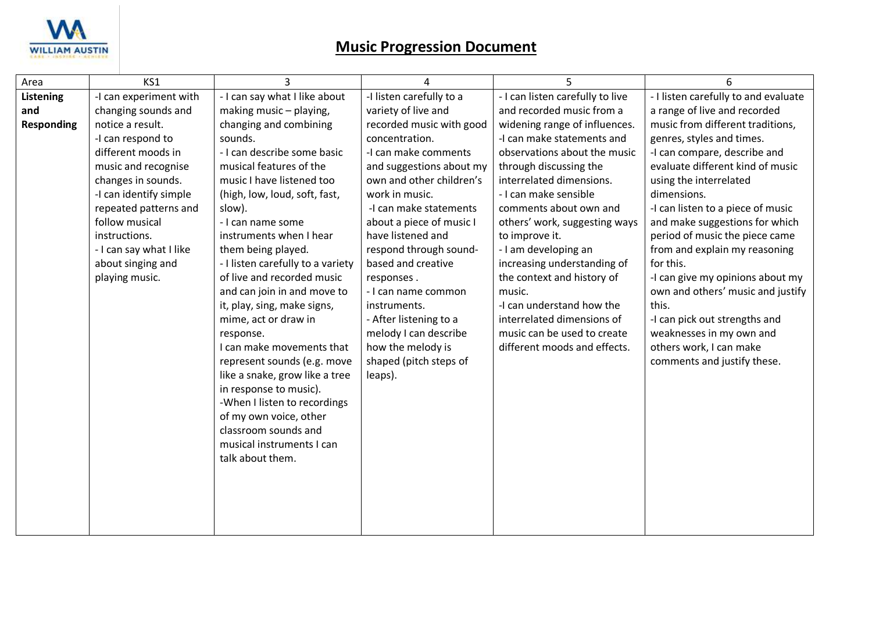

| Area              | KS1                     | 3                                      | 4                                          | 5                                                           | 6                                                   |
|-------------------|-------------------------|----------------------------------------|--------------------------------------------|-------------------------------------------------------------|-----------------------------------------------------|
| Listening         | -I can experiment with  | - I can say what I like about          | -I listen carefully to a                   | - I can listen carefully to live                            | - I listen carefully to and evaluate                |
| and               | changing sounds and     | making music - playing,                | variety of live and                        | and recorded music from a                                   | a range of live and recorded                        |
| <b>Responding</b> | notice a result.        | changing and combining                 | recorded music with good                   | widening range of influences.                               | music from different traditions,                    |
|                   | -I can respond to       | sounds.                                | concentration.                             | -I can make statements and                                  | genres, styles and times.                           |
|                   | different moods in      | - I can describe some basic            | -I can make comments                       | observations about the music                                | -I can compare, describe and                        |
|                   | music and recognise     | musical features of the                | and suggestions about my                   | through discussing the                                      | evaluate different kind of music                    |
|                   | changes in sounds.      | music I have listened too              | own and other children's                   | interrelated dimensions.                                    | using the interrelated                              |
|                   | -I can identify simple  | (high, low, loud, soft, fast,          | work in music.                             | - I can make sensible                                       | dimensions.                                         |
|                   | repeated patterns and   | slow).                                 | -I can make statements                     | comments about own and                                      | -I can listen to a piece of music                   |
|                   | follow musical          | - I can name some                      | about a piece of music I                   | others' work, suggesting ways                               | and make suggestions for which                      |
|                   | instructions.           | instruments when I hear                | have listened and                          | to improve it.                                              | period of music the piece came                      |
|                   | - I can say what I like | them being played.                     | respond through sound-                     | - I am developing an                                        | from and explain my reasoning                       |
|                   | about singing and       | - I listen carefully to a variety      | based and creative                         | increasing understanding of                                 | for this.                                           |
|                   | playing music.          | of live and recorded music             | responses.                                 | the context and history of                                  | -I can give my opinions about my                    |
|                   |                         | and can join in and move to            | - I can name common                        | music.                                                      | own and others' music and justify                   |
|                   |                         | it, play, sing, make signs,            | instruments.                               | -I can understand how the                                   | this.                                               |
|                   |                         | mime, act or draw in                   | - After listening to a                     | interrelated dimensions of                                  | -I can pick out strengths and                       |
|                   |                         | response.<br>I can make movements that | melody I can describe<br>how the melody is | music can be used to create<br>different moods and effects. | weaknesses in my own and<br>others work, I can make |
|                   |                         | represent sounds (e.g. move            | shaped (pitch steps of                     |                                                             | comments and justify these.                         |
|                   |                         | like a snake, grow like a tree         | leaps).                                    |                                                             |                                                     |
|                   |                         | in response to music).                 |                                            |                                                             |                                                     |
|                   |                         | -When I listen to recordings           |                                            |                                                             |                                                     |
|                   |                         | of my own voice, other                 |                                            |                                                             |                                                     |
|                   |                         | classroom sounds and                   |                                            |                                                             |                                                     |
|                   |                         | musical instruments I can              |                                            |                                                             |                                                     |
|                   |                         | talk about them.                       |                                            |                                                             |                                                     |
|                   |                         |                                        |                                            |                                                             |                                                     |
|                   |                         |                                        |                                            |                                                             |                                                     |
|                   |                         |                                        |                                            |                                                             |                                                     |
|                   |                         |                                        |                                            |                                                             |                                                     |
|                   |                         |                                        |                                            |                                                             |                                                     |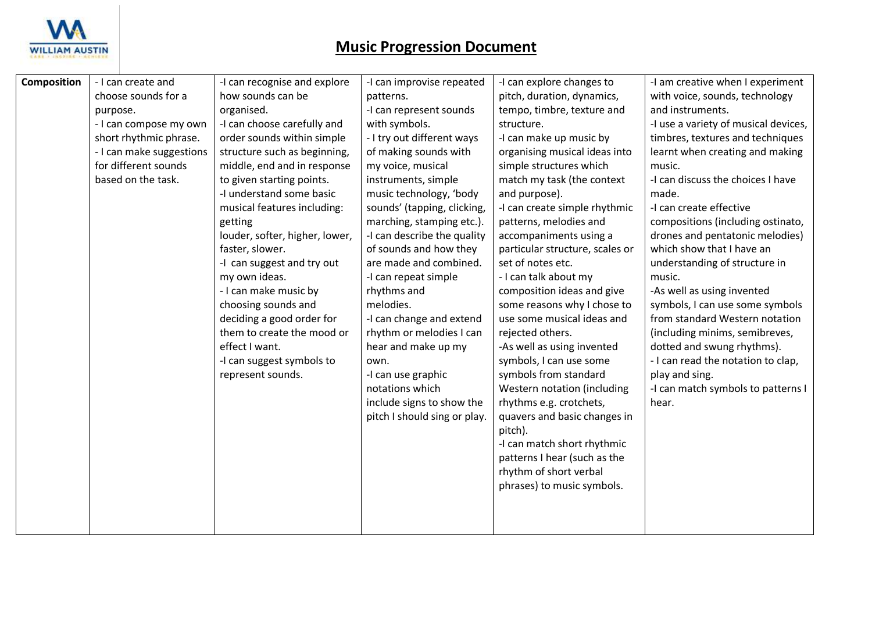

| <b>Composition</b> | - I can create and                               | -I can recognise and explore   | -I can improvise repeated    | -I can explore changes to                | -I am creative when I experiment     |
|--------------------|--------------------------------------------------|--------------------------------|------------------------------|------------------------------------------|--------------------------------------|
|                    | choose sounds for a                              | how sounds can be              | patterns.                    | pitch, duration, dynamics,               | with voice, sounds, technology       |
|                    |                                                  | organised.                     | -I can represent sounds      |                                          | and instruments.                     |
|                    | purpose.                                         | -I can choose carefully and    | with symbols.                | tempo, timbre, texture and<br>structure. | -I use a variety of musical devices, |
|                    | - I can compose my own<br>short rhythmic phrase. | order sounds within simple     | - I try out different ways   | -I can make up music by                  | timbres, textures and techniques     |
|                    |                                                  |                                |                              |                                          |                                      |
|                    | - I can make suggestions                         | structure such as beginning,   | of making sounds with        | organising musical ideas into            | learnt when creating and making      |
|                    | for different sounds                             | middle, end and in response    | my voice, musical            | simple structures which                  | music.                               |
|                    | based on the task.                               | to given starting points.      | instruments, simple          | match my task (the context               | -I can discuss the choices I have    |
|                    |                                                  | -I understand some basic       | music technology, 'body      | and purpose).                            | made.                                |
|                    |                                                  | musical features including:    | sounds' (tapping, clicking,  | -I can create simple rhythmic            | -I can create effective              |
|                    |                                                  | getting                        | marching, stamping etc.).    | patterns, melodies and                   | compositions (including ostinato,    |
|                    |                                                  | louder, softer, higher, lower, | -I can describe the quality  | accompaniments using a                   | drones and pentatonic melodies)      |
|                    |                                                  | faster, slower.                | of sounds and how they       | particular structure, scales or          | which show that I have an            |
|                    |                                                  | -I can suggest and try out     | are made and combined.       | set of notes etc.                        | understanding of structure in        |
|                    |                                                  | my own ideas.                  | -I can repeat simple         | - I can talk about my                    | music.                               |
|                    |                                                  | - I can make music by          | rhythms and                  | composition ideas and give               | -As well as using invented           |
|                    |                                                  | choosing sounds and            | melodies.                    | some reasons why I chose to              | symbols, I can use some symbols      |
|                    |                                                  | deciding a good order for      | -I can change and extend     | use some musical ideas and               | from standard Western notation       |
|                    |                                                  | them to create the mood or     | rhythm or melodies I can     | rejected others.                         | (including minims, semibreves,       |
|                    |                                                  | effect I want.                 | hear and make up my          | -As well as using invented               | dotted and swung rhythms).           |
|                    |                                                  | -I can suggest symbols to      | own.                         | symbols, I can use some                  | - I can read the notation to clap,   |
|                    |                                                  | represent sounds.              | -I can use graphic           | symbols from standard                    | play and sing.                       |
|                    |                                                  |                                | notations which              | Western notation (including              | -I can match symbols to patterns I   |
|                    |                                                  |                                | include signs to show the    | rhythms e.g. crotchets,                  | hear.                                |
|                    |                                                  |                                | pitch I should sing or play. | quavers and basic changes in             |                                      |
|                    |                                                  |                                |                              | pitch).                                  |                                      |
|                    |                                                  |                                |                              | -I can match short rhythmic              |                                      |
|                    |                                                  |                                |                              | patterns I hear (such as the             |                                      |
|                    |                                                  |                                |                              | rhythm of short verbal                   |                                      |
|                    |                                                  |                                |                              | phrases) to music symbols.               |                                      |
|                    |                                                  |                                |                              |                                          |                                      |
|                    |                                                  |                                |                              |                                          |                                      |
|                    |                                                  |                                |                              |                                          |                                      |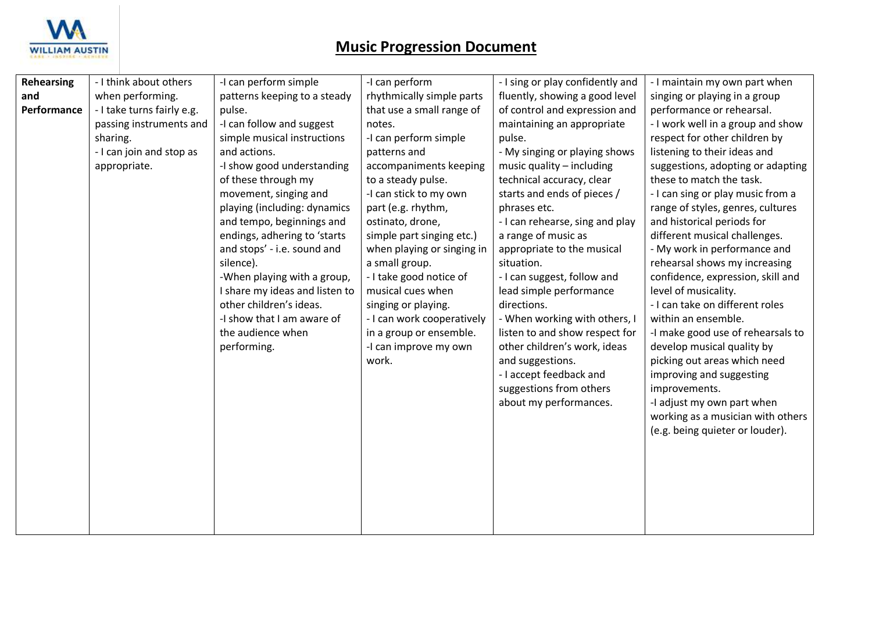

| <b>Rehearsing</b> | - I think about others     | -I can perform simple          | -I can perform             | - I sing or play confidently and | - I maintain my own part when     |
|-------------------|----------------------------|--------------------------------|----------------------------|----------------------------------|-----------------------------------|
| and               | when performing.           | patterns keeping to a steady   | rhythmically simple parts  | fluently, showing a good level   | singing or playing in a group     |
| Performance       | - I take turns fairly e.g. | pulse.                         | that use a small range of  | of control and expression and    | performance or rehearsal.         |
|                   | passing instruments and    | -I can follow and suggest      | notes.                     | maintaining an appropriate       | - I work well in a group and show |
|                   | sharing.                   | simple musical instructions    | -I can perform simple      | pulse.                           | respect for other children by     |
|                   | - I can join and stop as   | and actions.                   | patterns and               | - My singing or playing shows    | listening to their ideas and      |
|                   | appropriate.               | -I show good understanding     | accompaniments keeping     | music quality - including        | suggestions, adopting or adapting |
|                   |                            | of these through my            | to a steady pulse.         | technical accuracy, clear        | these to match the task.          |
|                   |                            | movement, singing and          | -I can stick to my own     | starts and ends of pieces /      | - I can sing or play music from a |
|                   |                            | playing (including: dynamics   | part (e.g. rhythm,         | phrases etc.                     | range of styles, genres, cultures |
|                   |                            | and tempo, beginnings and      | ostinato, drone,           | - I can rehearse, sing and play  | and historical periods for        |
|                   |                            | endings, adhering to 'starts   | simple part singing etc.)  | a range of music as              | different musical challenges.     |
|                   |                            | and stops' - i.e. sound and    | when playing or singing in | appropriate to the musical       | - My work in performance and      |
|                   |                            | silence).                      | a small group.             | situation.                       | rehearsal shows my increasing     |
|                   |                            | -When playing with a group,    | - I take good notice of    | - I can suggest, follow and      | confidence, expression, skill and |
|                   |                            | I share my ideas and listen to | musical cues when          | lead simple performance          | level of musicality.              |
|                   |                            | other children's ideas.        | singing or playing.        | directions.                      | - I can take on different roles   |
|                   |                            | -I show that I am aware of     | - I can work cooperatively | - When working with others, I    | within an ensemble.               |
|                   |                            | the audience when              | in a group or ensemble.    | listen to and show respect for   | -I make good use of rehearsals to |
|                   |                            | performing.                    | -I can improve my own      | other children's work, ideas     | develop musical quality by        |
|                   |                            |                                | work.                      | and suggestions.                 | picking out areas which need      |
|                   |                            |                                |                            | - I accept feedback and          | improving and suggesting          |
|                   |                            |                                |                            | suggestions from others          | improvements.                     |
|                   |                            |                                |                            | about my performances.           | -I adjust my own part when        |
|                   |                            |                                |                            |                                  | working as a musician with others |
|                   |                            |                                |                            |                                  | (e.g. being quieter or louder).   |
|                   |                            |                                |                            |                                  |                                   |
|                   |                            |                                |                            |                                  |                                   |
|                   |                            |                                |                            |                                  |                                   |
|                   |                            |                                |                            |                                  |                                   |
|                   |                            |                                |                            |                                  |                                   |
|                   |                            |                                |                            |                                  |                                   |
|                   |                            |                                |                            |                                  |                                   |